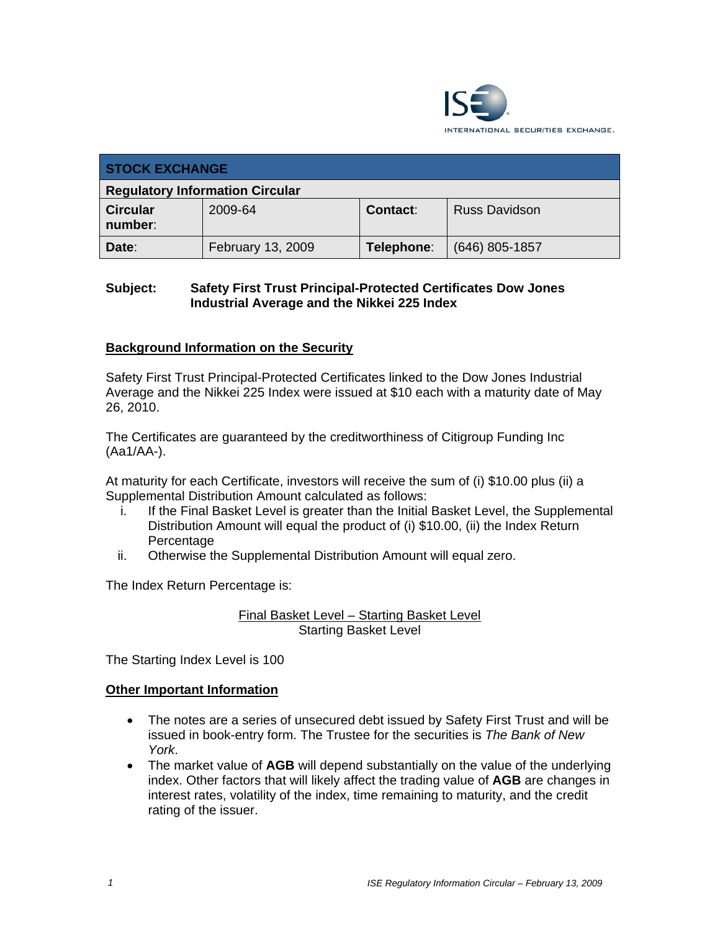

| <b>STOCK EXCHANGE</b>                  |                   |                 |                      |  |
|----------------------------------------|-------------------|-----------------|----------------------|--|
| <b>Regulatory Information Circular</b> |                   |                 |                      |  |
| <b>Circular</b><br>number:             | 2009-64           | <b>Contact:</b> | <b>Russ Davidson</b> |  |
| Date:                                  | February 13, 2009 | Telephone:      | (646) 805-1857       |  |

### **Subject: Safety First Trust Principal-Protected Certificates Dow Jones Industrial Average and the Nikkei 225 Index**

## **Background Information on the Security**

Safety First Trust Principal-Protected Certificates linked to the Dow Jones Industrial Average and the Nikkei 225 Index were issued at \$10 each with a maturity date of May 26, 2010.

The Certificates are guaranteed by the creditworthiness of Citigroup Funding Inc (Aa1/AA-).

At maturity for each Certificate, investors will receive the sum of (i) \$10.00 plus (ii) a Supplemental Distribution Amount calculated as follows:

- i. If the Final Basket Level is greater than the Initial Basket Level, the Supplemental Distribution Amount will equal the product of (i) \$10.00, (ii) the Index Return Percentage
- ii. Otherwise the Supplemental Distribution Amount will equal zero.

The Index Return Percentage is:

Final Basket Level – Starting Basket Level Starting Basket Level

The Starting Index Level is 100

#### **Other Important Information**

- The notes are a series of unsecured debt issued by Safety First Trust and will be issued in book-entry form. The Trustee for the securities is *The Bank of New York*.
- The market value of **AGB** will depend substantially on the value of the underlying index. Other factors that will likely affect the trading value of **AGB** are changes in interest rates, volatility of the index, time remaining to maturity, and the credit rating of the issuer.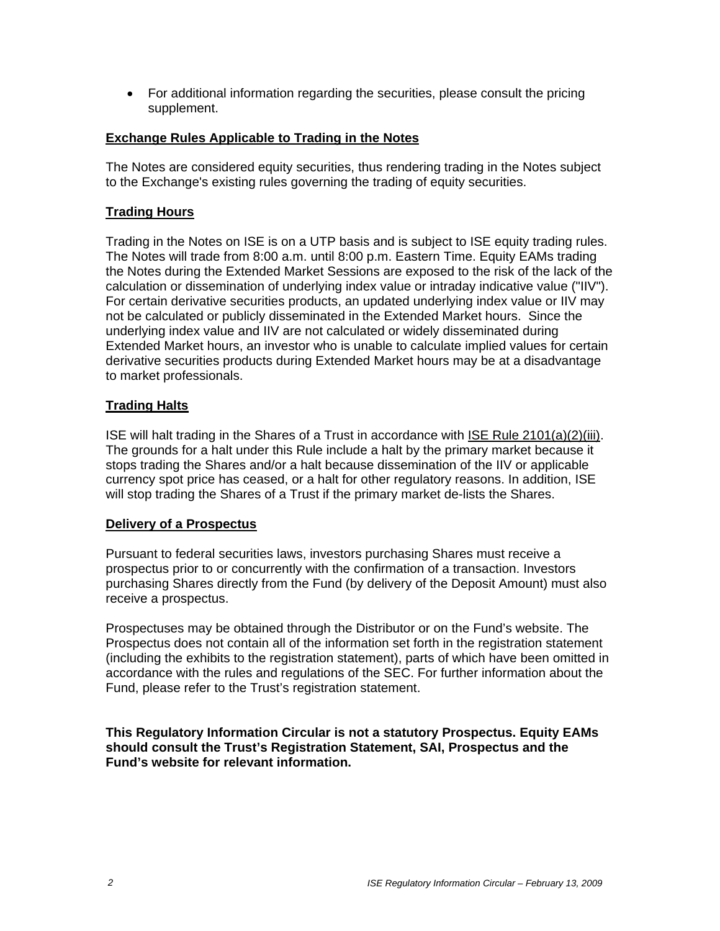• For additional information regarding the securities, please consult the pricing supplement.

#### **Exchange Rules Applicable to Trading in the Notes**

The Notes are considered equity securities, thus rendering trading in the Notes subject to the Exchange's existing rules governing the trading of equity securities.

#### **Trading Hours**

Trading in the Notes on ISE is on a UTP basis and is subject to ISE equity trading rules. The Notes will trade from 8:00 a.m. until 8:00 p.m. Eastern Time. Equity EAMs trading the Notes during the Extended Market Sessions are exposed to the risk of the lack of the calculation or dissemination of underlying index value or intraday indicative value ("IIV"). For certain derivative securities products, an updated underlying index value or IIV may not be calculated or publicly disseminated in the Extended Market hours. Since the underlying index value and IIV are not calculated or widely disseminated during Extended Market hours, an investor who is unable to calculate implied values for certain derivative securities products during Extended Market hours may be at a disadvantage to market professionals.

#### **Trading Halts**

ISE will halt trading in the Shares of a Trust in accordance with ISE Rule 2101(a)(2)(iii). The grounds for a halt under this Rule include a halt by the primary market because it stops trading the Shares and/or a halt because dissemination of the IIV or applicable currency spot price has ceased, or a halt for other regulatory reasons. In addition, ISE will stop trading the Shares of a Trust if the primary market de-lists the Shares.

#### **Delivery of a Prospectus**

Pursuant to federal securities laws, investors purchasing Shares must receive a prospectus prior to or concurrently with the confirmation of a transaction. Investors purchasing Shares directly from the Fund (by delivery of the Deposit Amount) must also receive a prospectus.

Prospectuses may be obtained through the Distributor or on the Fund's website. The Prospectus does not contain all of the information set forth in the registration statement (including the exhibits to the registration statement), parts of which have been omitted in accordance with the rules and regulations of the SEC. For further information about the Fund, please refer to the Trust's registration statement.

**This Regulatory Information Circular is not a statutory Prospectus. Equity EAMs should consult the Trust's Registration Statement, SAI, Prospectus and the Fund's website for relevant information.**